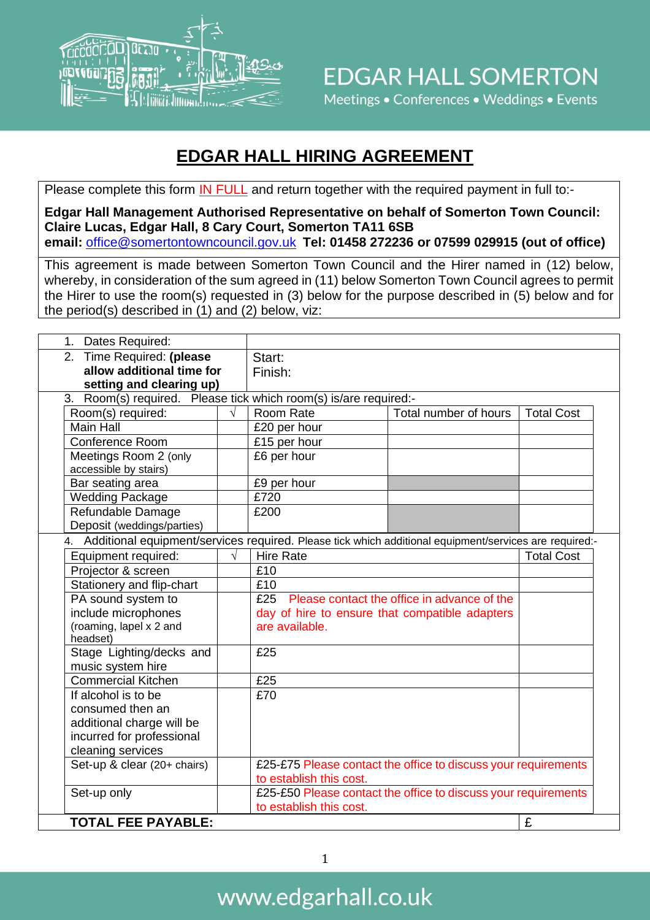

### **EDGAR HALL HIRING AGREEMENT**

Please complete this form IN FULL and return together with the required payment in full to:-

**Edgar Hall Management Authorised Representative on behalf of Somerton Town Council: Claire Lucas, Edgar Hall, 8 Cary Court, Somerton TA11 6SB email:** [office@somertontowncouncil.gov.uk](mailto:office@somertontowncouncil.gov.uk) **Tel: 01458 272236 or 07599 029915 (out of office)**

This agreement is made between Somerton Town Council and the Hirer named in (12) below, whereby, in consideration of the sum agreed in (11) below Somerton Town Council agrees to permit the Hirer to use the room(s) requested in (3) below for the purpose described in (5) below and for the period(s) described in (1) and (2) below, viz:

| 1. Dates Required:                                                                                        |            |                                                 |                                                                |                   |  |
|-----------------------------------------------------------------------------------------------------------|------------|-------------------------------------------------|----------------------------------------------------------------|-------------------|--|
| 2. Time Required: (please                                                                                 |            | Start:                                          |                                                                |                   |  |
| allow additional time for                                                                                 |            | Finish:                                         |                                                                |                   |  |
| setting and clearing up)                                                                                  |            |                                                 |                                                                |                   |  |
| 3. Room(s) required. Please tick which room(s) is/are required:-                                          |            |                                                 |                                                                |                   |  |
| Room(s) required:                                                                                         |            | Room Rate                                       | Total number of hours                                          | <b>Total Cost</b> |  |
| Main Hall                                                                                                 |            | £20 per hour                                    |                                                                |                   |  |
| <b>Conference Room</b>                                                                                    |            | £15 per hour                                    |                                                                |                   |  |
| Meetings Room 2 (only                                                                                     |            | £6 per hour                                     |                                                                |                   |  |
| accessible by stairs)                                                                                     |            |                                                 |                                                                |                   |  |
| Bar seating area                                                                                          |            | £9 per hour                                     |                                                                |                   |  |
| <b>Wedding Package</b>                                                                                    |            | £720                                            |                                                                |                   |  |
| Refundable Damage                                                                                         |            | £200                                            |                                                                |                   |  |
| Deposit (weddings/parties)                                                                                |            |                                                 |                                                                |                   |  |
| 4. Additional equipment/services required. Please tick which additional equipment/services are required:- |            |                                                 |                                                                |                   |  |
| Equipment required:                                                                                       | $\sqrt{ }$ | <b>Hire Rate</b>                                |                                                                | <b>Total Cost</b> |  |
| Projector & screen                                                                                        |            | £10                                             |                                                                |                   |  |
| Stationery and flip-chart                                                                                 |            | £10                                             |                                                                |                   |  |
| PA sound system to                                                                                        |            | £25 Please contact the office in advance of the |                                                                |                   |  |
| include microphones                                                                                       |            | day of hire to ensure that compatible adapters  |                                                                |                   |  |
| (roaming, lapel x 2 and                                                                                   |            | are available.                                  |                                                                |                   |  |
| headset)<br>Stage Lighting/decks and                                                                      |            | £25                                             |                                                                |                   |  |
| music system hire                                                                                         |            |                                                 |                                                                |                   |  |
| <b>Commercial Kitchen</b>                                                                                 |            | £25                                             |                                                                |                   |  |
| If alcohol is to be                                                                                       |            | £70                                             |                                                                |                   |  |
| consumed then an                                                                                          |            |                                                 |                                                                |                   |  |
| additional charge will be                                                                                 |            |                                                 |                                                                |                   |  |
| incurred for professional                                                                                 |            |                                                 |                                                                |                   |  |
| cleaning services                                                                                         |            |                                                 |                                                                |                   |  |
| Set-up & clear (20+ chairs)                                                                               |            |                                                 | £25-£75 Please contact the office to discuss your requirements |                   |  |
|                                                                                                           |            | to establish this cost.                         |                                                                |                   |  |
| Set-up only                                                                                               |            |                                                 | £25-£50 Please contact the office to discuss your requirements |                   |  |
|                                                                                                           |            | to establish this cost.                         |                                                                |                   |  |
| <b>TOTAL FEE PAYABLE:</b>                                                                                 |            |                                                 |                                                                | £                 |  |
|                                                                                                           |            |                                                 |                                                                |                   |  |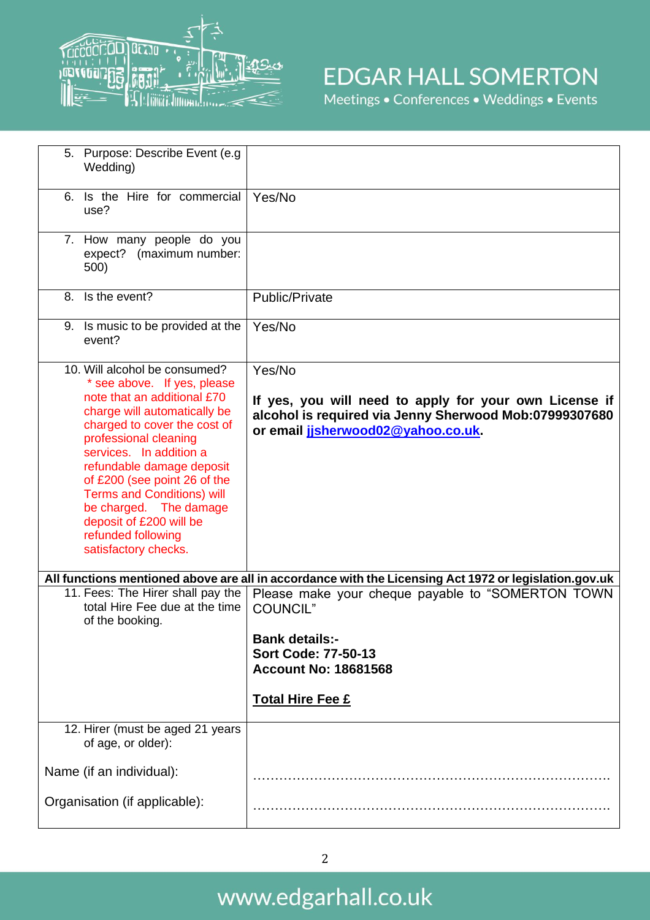

# **EDGAR HALL SOMERTON**

Meetings • Conferences • Weddings • Events

| 5. Purpose: Describe Event (e.g.<br>Wedding)                                                                                                                                                                                                                                                                                                                                                                         |                                                                                                                                                                  |
|----------------------------------------------------------------------------------------------------------------------------------------------------------------------------------------------------------------------------------------------------------------------------------------------------------------------------------------------------------------------------------------------------------------------|------------------------------------------------------------------------------------------------------------------------------------------------------------------|
| Is the Hire for commercial<br>6.<br>use?                                                                                                                                                                                                                                                                                                                                                                             | Yes/No                                                                                                                                                           |
| 7. How many people do you<br>expect? (maximum number:<br>500)                                                                                                                                                                                                                                                                                                                                                        |                                                                                                                                                                  |
| 8. Is the event?                                                                                                                                                                                                                                                                                                                                                                                                     | Public/Private                                                                                                                                                   |
| 9. Is music to be provided at the<br>event?                                                                                                                                                                                                                                                                                                                                                                          | Yes/No                                                                                                                                                           |
| 10. Will alcohol be consumed?<br>* see above. If yes, please<br>note that an additional £70<br>charge will automatically be<br>charged to cover the cost of<br>professional cleaning<br>services. In addition a<br>refundable damage deposit<br>of £200 (see point 26 of the<br><b>Terms and Conditions) will</b><br>be charged. The damage<br>deposit of £200 will be<br>refunded following<br>satisfactory checks. | Yes/No<br>If yes, you will need to apply for your own License if<br>alcohol is required via Jenny Sherwood Mob:07999307680<br>or email jisherwood02@yahoo.co.uk. |
|                                                                                                                                                                                                                                                                                                                                                                                                                      | All functions mentioned above are all in accordance with the Licensing Act 1972 or legislation.gov.uk                                                            |
| 11. Fees: The Hirer shall pay the<br>total Hire Fee due at the time<br>of the booking.                                                                                                                                                                                                                                                                                                                               | Please make your cheque payable to "SOMERTON TOWN<br><b>COUNCIL"</b>                                                                                             |
|                                                                                                                                                                                                                                                                                                                                                                                                                      | <b>Bank details:-</b><br><b>Sort Code: 77-50-13</b><br><b>Account No: 18681568</b>                                                                               |
|                                                                                                                                                                                                                                                                                                                                                                                                                      | <b>Total Hire Fee £</b>                                                                                                                                          |
| 12. Hirer (must be aged 21 years<br>of age, or older):                                                                                                                                                                                                                                                                                                                                                               |                                                                                                                                                                  |
| Name (if an individual):                                                                                                                                                                                                                                                                                                                                                                                             |                                                                                                                                                                  |
| Organisation (if applicable):                                                                                                                                                                                                                                                                                                                                                                                        |                                                                                                                                                                  |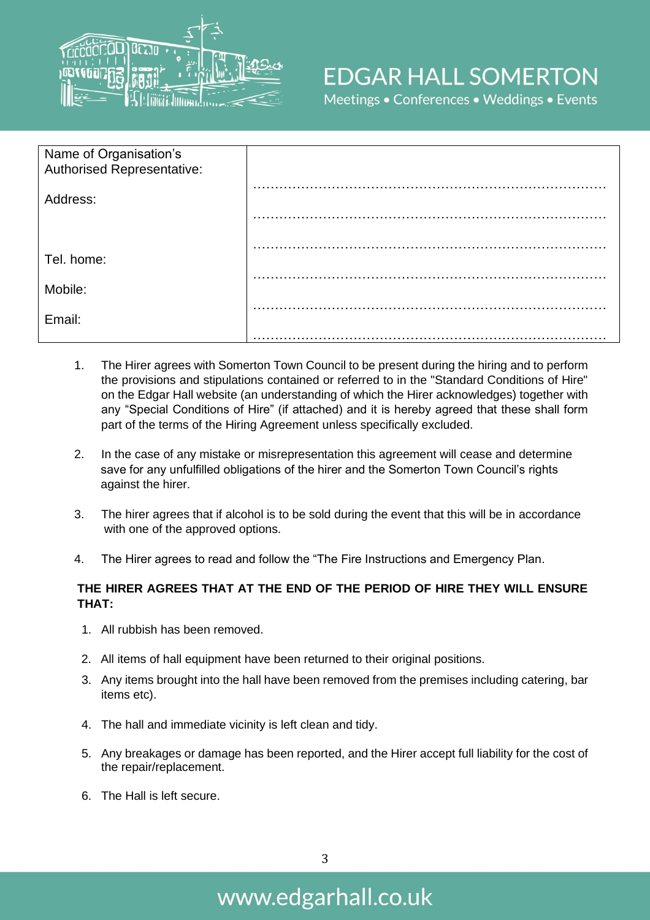

# **EDGAR HALL SOMERTON**

Meetings . Conferences . Weddings . Events

| Name of Organisation's<br>Authorised Representative: |  |
|------------------------------------------------------|--|
| Address:                                             |  |
|                                                      |  |
| Tel. home:                                           |  |
| Mobile:                                              |  |
| Email:                                               |  |
|                                                      |  |

- 1. The Hirer agrees with Somerton Town Council to be present during the hiring and to perform the provisions and stipulations contained or referred to in the "Standard Conditions of Hire" on the Edgar Hall website (an understanding of which the Hirer acknowledges) together with any "Special Conditions of Hire" (if attached) and it is hereby agreed that these shall form part of the terms of the Hiring Agreement unless specifically excluded.
- 2. In the case of any mistake or misrepresentation this agreement will cease and determine save for any unfulfilled obligations of the hirer and the Somerton Town Council's rights against the hirer.
- 3. The hirer agrees that if alcohol is to be sold during the event that this will be in accordance with one of the approved options.
- 4. The Hirer agrees to read and follow the "The Fire Instructions and Emergency Plan.

#### **THE HIRER AGREES THAT AT THE END OF THE PERIOD OF HIRE THEY WILL ENSURE THAT:**

- 1. All rubbish has been removed.
- 2. All items of hall equipment have been returned to their original positions.
- 3. Any items brought into the hall have been removed from the premises including catering, bar items etc).
- 4. The hall and immediate vicinity is left clean and tidy.
- 5. Any breakages or damage has been reported, and the Hirer accept full liability for the cost of the repair/replacement.
- 6. The Hall is left secure.